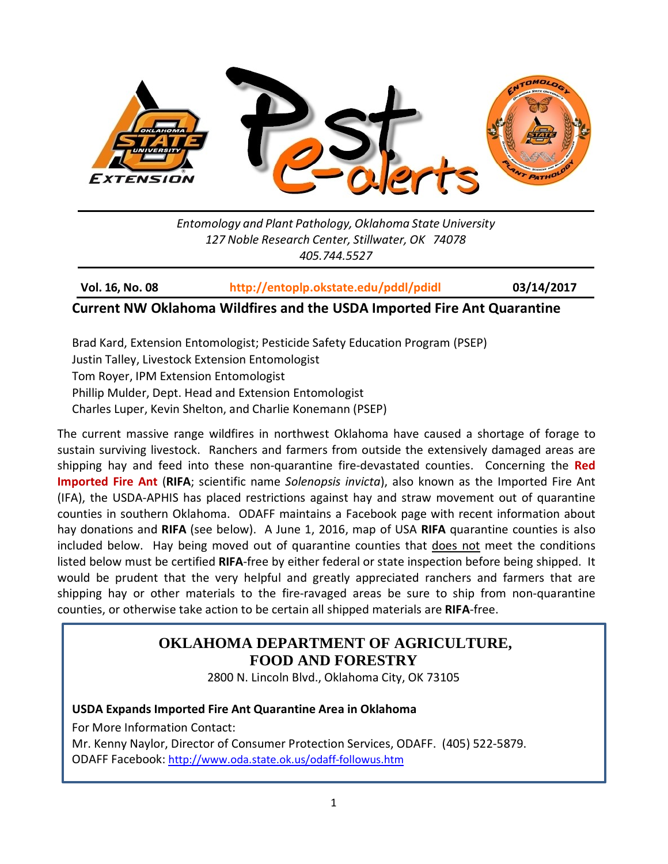

*Entomology and Plant Pathology, Oklahoma State University 127 Noble Research Center, Stillwater, OK 74078 405.744.5527*

**Vol. 16, No. 08 <http://entoplp.okstate.edu/pddl/pdidl> 03/14/2017**

### **Current NW Oklahoma Wildfires and the USDA Imported Fire Ant Quarantine**

Brad Kard, Extension Entomologist; Pesticide Safety Education Program (PSEP) Justin Talley, Livestock Extension Entomologist Tom Royer, IPM Extension Entomologist Phillip Mulder, Dept. Head and Extension Entomologist Charles Luper, Kevin Shelton, and Charlie Konemann (PSEP)

The current massive range wildfires in northwest Oklahoma have caused a shortage of forage to sustain surviving livestock. Ranchers and farmers from outside the extensively damaged areas are shipping hay and feed into these non-quarantine fire-devastated counties. Concerning the **Red Imported Fire Ant** (**RIFA**; scientific name *Solenopsis invicta*), also known as the Imported Fire Ant (IFA), the USDA-APHIS has placed restrictions against hay and straw movement out of quarantine counties in southern Oklahoma. ODAFF maintains a Facebook page with recent information about hay donations and **RIFA** (see below). A June 1, 2016, map of USA **RIFA** quarantine counties is also included below. Hay being moved out of quarantine counties that does not meet the conditions listed below must be certified **RIFA**-free by either federal or state inspection before being shipped. It would be prudent that the very helpful and greatly appreciated ranchers and farmers that are shipping hay or other materials to the fire-ravaged areas be sure to ship from non-quarantine counties, or otherwise take action to be certain all shipped materials are **RIFA**-free.

### **OKLAHOMA DEPARTMENT OF AGRICULTURE, FOOD AND FORESTRY**

2800 N. Lincoln Blvd., Oklahoma City, OK 73105

### **USDA Expands Imported Fire Ant Quarantine Area in Oklahoma**

For More Information Contact:

Mr. Kenny Naylor, Director of Consumer Protection Services, ODAFF. (405) 522-5879. ODAFF Facebook:<http://www.oda.state.ok.us/odaff-followus.htm>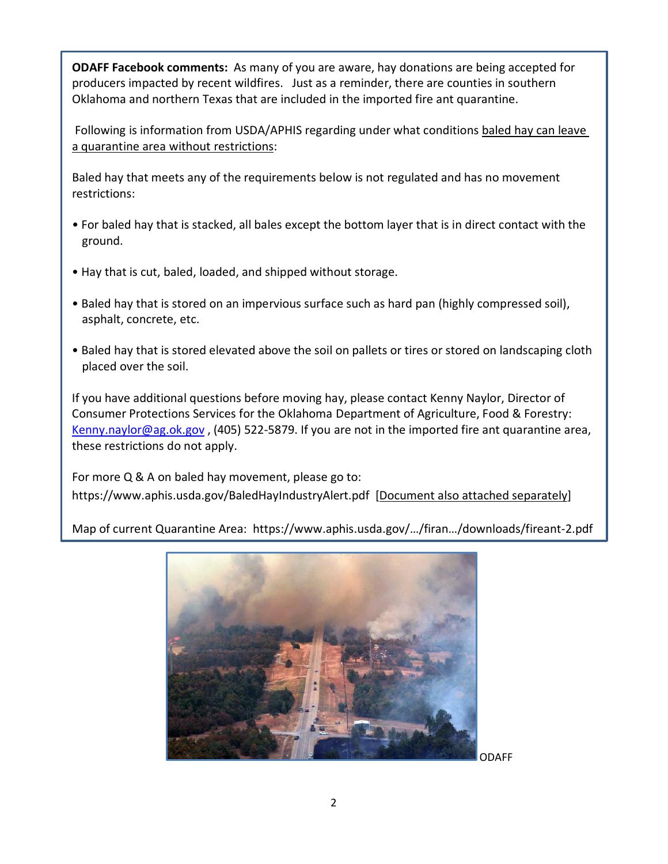**ODAFF Facebook comments:** As many of you are aware, hay donations are being accepted for producers impacted by recent wildfires. Just as a reminder, there are counties in southern Oklahoma and northern Texas that are included in the imported fire ant quarantine.

Following is information from USDA/APHIS regarding under what conditions baled hay can leave a quarantine area without restrictions:

Baled hay that meets any of the requirements below is not regulated and has no movement restrictions:

- For baled hay that is stacked, all bales except the bottom layer that is in direct contact with the ground.
- Hay that is cut, baled, loaded, and shipped without storage.
- Baled hay that is stored on an impervious surface such as hard pan (highly compressed soil), asphalt, concrete, etc.
- Baled hay that is stored elevated above the soil on pallets or tires or stored on landscaping cloth placed over the soil.

If you have additional questions before moving hay, please contact Kenny Naylor, Director of Consumer Protections Services for the Oklahoma Department of Agriculture, Food & Forestry: [Kenny.naylor@ag.ok.gov](mailto:Kenny.naylor@ag.ok.gov) , (405) 522-5879. If you are not in the imported fire ant quarantine area, these restrictions do not apply.

For more Q & A on baled hay movement, please go to: <https://www.aphis.usda.gov/BaledHayIndustryAlert.pdf>[Document also attached separately]

Map of current Quarantine Area: https://www.aphis.usda.gov/…/firan…/downloads/fireant-2.pdf



ODAFF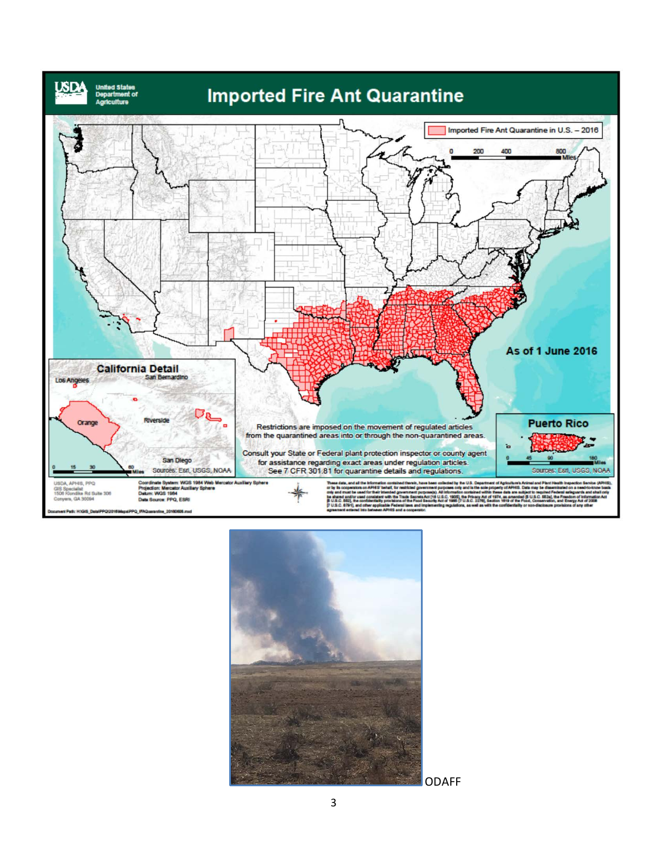

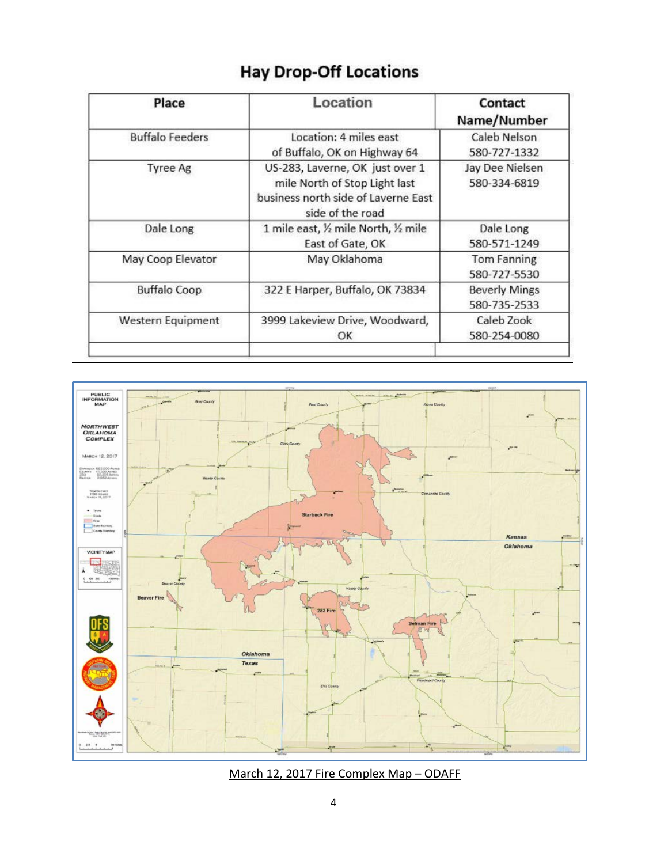|  |  |  | <b>Hay Drop-Off Locations</b> |  |
|--|--|--|-------------------------------|--|
|--|--|--|-------------------------------|--|

| Place                  | Location                                                                                                                    | Contact<br>Name/Number<br>Caleb Nelson<br>580-727-1332 |  |
|------------------------|-----------------------------------------------------------------------------------------------------------------------------|--------------------------------------------------------|--|
| <b>Buffalo Feeders</b> | Location: 4 miles east<br>of Buffalo, OK on Highway 64                                                                      |                                                        |  |
| Tyree Ag               | US-283, Laverne, OK just over 1<br>mile North of Stop Light last<br>business north side of Laverne East<br>side of the road | Jay Dee Nielsen<br>580-334-6819                        |  |
| Dale Long              | 1 mile east, 1/2 mile North, 1/2 mile<br>East of Gate, OK                                                                   | Dale Long<br>580-571-1249                              |  |
| May Coop Elevator      | May Oklahoma                                                                                                                | Tom Fanning<br>580-727-5530                            |  |
| <b>Buffalo Coop</b>    | 322 E Harper, Buffalo, OK 73834                                                                                             | <b>Beverly Mings</b><br>580-735-2533                   |  |
| Western Equipment      | 3999 Lakeview Drive, Woodward,<br>OK                                                                                        | Caleb Zook<br>580-254-0080                             |  |



March 12, 2017 Fire Complex Map – ODAFF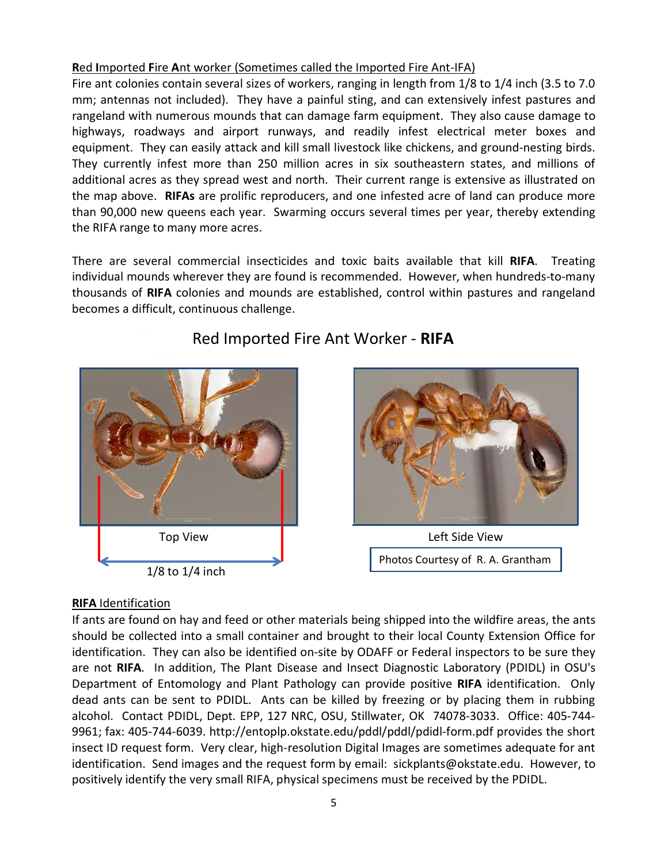### **R**ed **I**mported **F**ire **A**nt worker (Sometimes called the Imported Fire Ant-IFA)

Fire ant colonies contain several sizes of workers, ranging in length from 1/8 to 1/4 inch (3.5 to 7.0 mm; antennas not included). They have a painful sting, and can extensively infest pastures and rangeland with numerous mounds that can damage farm equipment. They also cause damage to highways, roadways and airport runways, and readily infest electrical meter boxes and equipment. They can easily attack and kill small livestock like chickens, and ground-nesting birds. They currently infest more than 250 million acres in six southeastern states, and millions of additional acres as they spread west and north. Their current range is extensive as illustrated on the map above. **RIFAs** are prolific reproducers, and one infested acre of land can produce more than 90,000 new queens each year. Swarming occurs several times per year, thereby extending the RIFA range to many more acres.

There are several commercial insecticides and toxic baits available that kill **RIFA**. Treating individual mounds wherever they are found is recommended. However, when hundreds-to-many thousands of **RIFA** colonies and mounds are established, control within pastures and rangeland becomes a difficult, continuous challenge.



## Red Imported Fire Ant Worker - **RIFA**



Photos Courtesy of R. A. Grantham

### **RIFA** Identification

If ants are found on hay and feed or other materials being shipped into the wildfire areas, the ants should be collected into a small container and brought to their local County Extension Office for identification. They can also be identified on-site by ODAFF or Federal inspectors to be sure they are not **RIFA**. In addition, The Plant Disease and Insect Diagnostic Laboratory (PDIDL) in OSU's Department of Entomology and Plant Pathology can provide positive **RIFA** identification. Only dead ants can be sent to PDIDL. Ants can be killed by freezing or by placing them in rubbing alcohol. Contact PDIDL, Dept. EPP, 127 NRC, OSU, Stillwater, OK 74078-3033. Office: 405-744- 9961; fax: 405-744-6039. http://entoplp.okstate.edu/pddl/pddl/pdidl-form.pdf provides the short insect ID request form. Very clear, high-resolution Digital Images are sometimes adequate for ant identification. Send images and the request form by email: sickplants@okstate.edu. However, to positively identify the very small RIFA, physical specimens must be received by the PDIDL.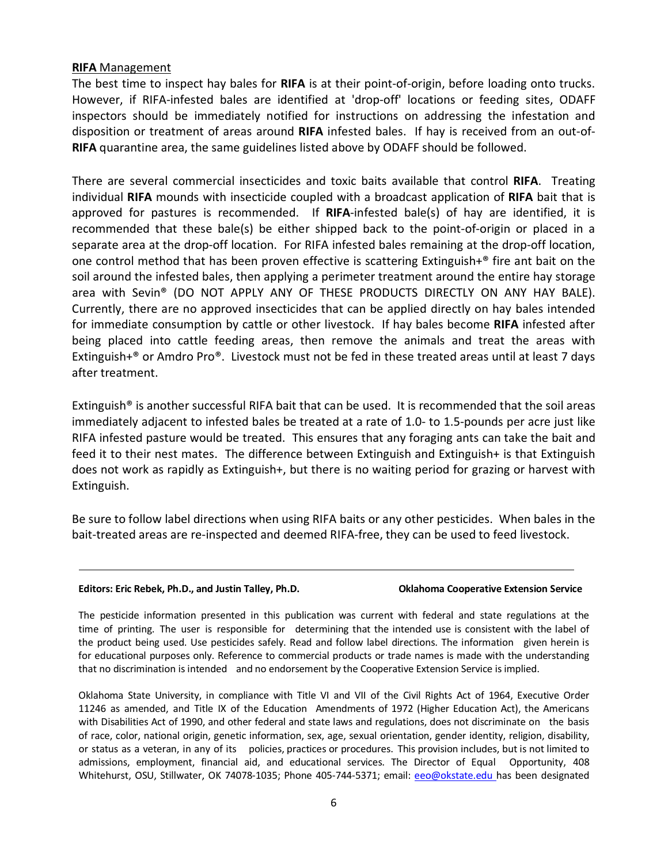### **RIFA** Management

The best time to inspect hay bales for **RIFA** is at their point-of-origin, before loading onto trucks. However, if RIFA-infested bales are identified at 'drop-off' locations or feeding sites, ODAFF inspectors should be immediately notified for instructions on addressing the infestation and disposition or treatment of areas around **RIFA** infested bales. If hay is received from an out-of-**RIFA** quarantine area, the same guidelines listed above by ODAFF should be followed.

There are several commercial insecticides and toxic baits available that control **RIFA**. Treating individual **RIFA** mounds with insecticide coupled with a broadcast application of **RIFA** bait that is approved for pastures is recommended. If **RIFA**-infested bale(s) of hay are identified, it is recommended that these bale(s) be either shipped back to the point-of-origin or placed in a separate area at the drop-off location. For RIFA infested bales remaining at the drop-off location, one control method that has been proven effective is scattering Extinguish $+^{\circ}$  fire ant bait on the soil around the infested bales, then applying a perimeter treatment around the entire hay storage area with Sevin® (DO NOT APPLY ANY OF THESE PRODUCTS DIRECTLY ON ANY HAY BALE). Currently, there are no approved insecticides that can be applied directly on hay bales intended for immediate consumption by cattle or other livestock. If hay bales become **RIFA** infested after being placed into cattle feeding areas, then remove the animals and treat the areas with Extinguish+® or Amdro Pro®. Livestock must not be fed in these treated areas until at least 7 days after treatment.

Extinguish<sup>®</sup> is another successful RIFA bait that can be used. It is recommended that the soil areas immediately adjacent to infested bales be treated at a rate of 1.0- to 1.5-pounds per acre just like RIFA infested pasture would be treated. This ensures that any foraging ants can take the bait and feed it to their nest mates. The difference between Extinguish and Extinguish+ is that Extinguish does not work as rapidly as Extinguish+, but there is no waiting period for grazing or harvest with Extinguish.

Be sure to follow label directions when using RIFA baits or any other pesticides. When bales in the bait-treated areas are re-inspected and deemed RIFA-free, they can be used to feed livestock.

### **Editors: Eric Rebek, Ph.D., and Justin Talley, Ph.D. Oklahoma Cooperative Extension Service**

The pesticide information presented in this publication was current with federal and state regulations at the time of printing. The user is responsible for determining that the intended use is consistent with the label of the product being used. Use pesticides safely. Read and follow label directions. The information given herein is for educational purposes only. Reference to commercial products or trade names is made with the understanding that no discrimination is intended and no endorsement by the Cooperative Extension Service is implied.

Oklahoma State University, in compliance with Title VI and VII of the Civil Rights Act of 1964, Executive Order 11246 as amended, and Title IX of the Education Amendments of 1972 (Higher Education Act), the Americans with Disabilities Act of 1990, and other federal and state laws and regulations, does not discriminate on the basis of race, color, national origin, genetic information, sex, age, sexual orientation, gender identity, religion, disability, or status as a veteran, in any of its policies, practices or procedures. This provision includes, but is not limited to admissions, employment, financial aid, and educational services. The Director of Equal Opportunity, 408 Whitehurst, OSU, Stillwater, OK 74078-1035; Phone 405-744-5371; email: [eeo@okstate.edu](mailto:eeo@okstate.edu) has been designated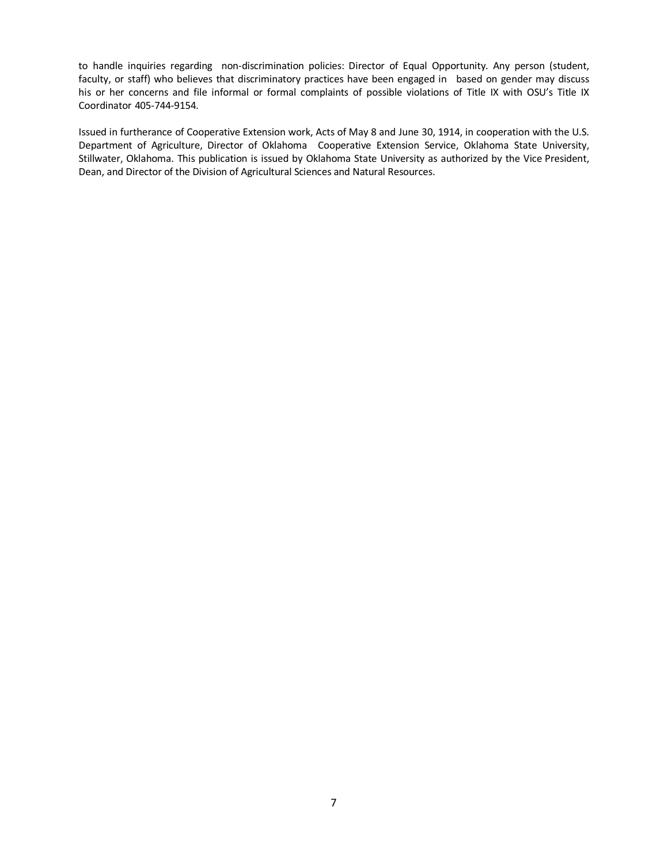to handle inquiries regarding non-discrimination policies: Director of Equal Opportunity. Any person (student, faculty, or staff) who believes that discriminatory practices have been engaged in based on gender may discuss his or her concerns and file informal or formal complaints of possible violations of Title IX with OSU's Title IX Coordinator 405-744-9154.

Issued in furtherance of Cooperative Extension work, Acts of May 8 and June 30, 1914, in cooperation with the U.S. Department of Agriculture, Director of Oklahoma Cooperative Extension Service, Oklahoma State University, Stillwater, Oklahoma. This publication is issued by Oklahoma State University as authorized by the Vice President, Dean, and Director of the Division of Agricultural Sciences and Natural Resources.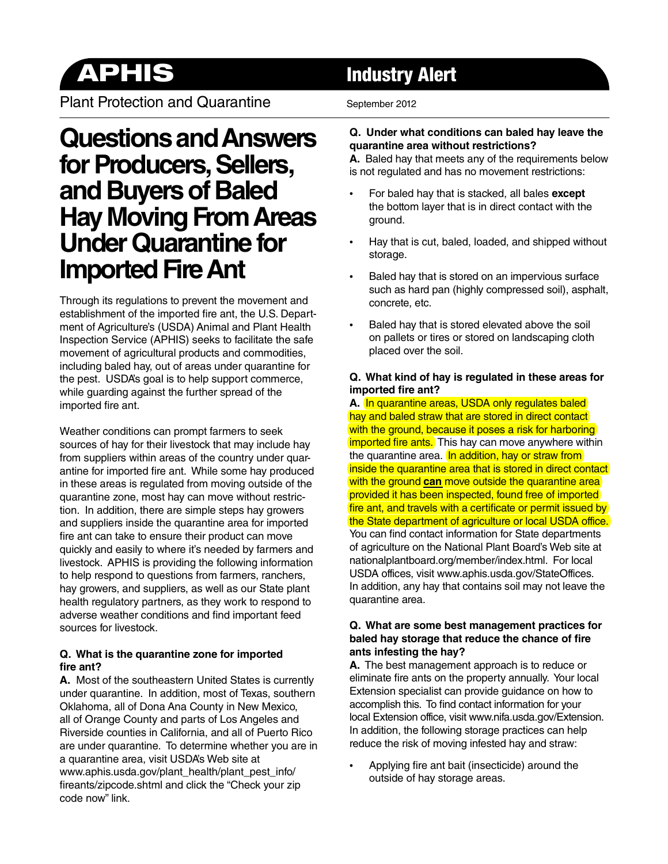Plant Protection and Quarantine September 2012

# **Questions and Answers for Producers, Sellers, and Buyers of Baled Hay Moving From Areas Under Quarantine for Imported Fire Ant**

Through its regulations to prevent the movement and establishment of the imported fire ant, the U.S. Department of Agriculture's (USDA) Animal and Plant Health Inspection Service (APHIS) seeks to facilitate the safe movement of agricultural products and commodities, including baled hay, out of areas under quarantine for the pest. USDA's goal is to help support commerce, while guarding against the further spread of the imported fire ant.

Weather conditions can prompt farmers to seek sources of hay for their livestock that may include hay from suppliers within areas of the country under quarantine for imported fire ant. While some hay produced in these areas is regulated from moving outside of the quarantine zone, most hay can move without restriction. In addition, there are simple steps hay growers and suppliers inside the quarantine area for imported fire ant can take to ensure their product can move quickly and easily to where it's needed by farmers and livestock. APHIS is providing the following information to help respond to questions from farmers, ranchers, hay growers, and suppliers, as well as our State plant health regulatory partners, as they work to respond to adverse weather conditions and find important feed sources for livestock.

### **Q. What is the quarantine zone for imported**  fire ant?

**A.** Most of the southeastern United States is currently under quarantine. In addition, most of Texas, southern Oklahoma, all of Dona Ana County in New Mexico, all of Orange County and parts of Los Angeles and Riverside counties in California, and all of Puerto Rico are under quarantine. To determine whether you are in a quarantine area, visit USDA's Web site at [www.aphis.usda.gov/plant\\_health/plant\\_pest\\_info/](www.aphis.usda.gov/plant_health/plant_pest_info/fireants/zipcode.shtml) fireants/zipcode.shtml and click the "Check your zip code now" link.

# **APHIS** Industry Alert

### **Q. Under what conditions can baled hay leave the quarantine area without restrictions?**

**A.** Baled hay that meets any of the requirements below is not regulated and has no movement restrictions:

- For baled hay that is stacked, all bales **except**  the bottom layer that is in direct contact with the ground.
- Hay that is cut, baled, loaded, and shipped without storage.
- Baled hay that is stored on an impervious surface such as hard pan (highly compressed soil), asphalt, concrete, etc.
- Baled hay that is stored elevated above the soil on pallets or tires or stored on landscaping cloth placed over the soil.

### **Q. What kind of hay is regulated in these areas for imported fire ant?**

**A.** In quarantine areas, USDA only regulates baled hay and baled straw that are stored in direct contact with the ground, because it poses a risk for harboring imported fire ants. This hay can move anywhere within the quarantine area. In addition, hay or straw from inside the quarantine area that is stored in direct contact with the ground **can** move outside the quarantine area provided it has been inspected, found free of imported fire ant, and travels with a certificate or permit issued by the State department of agriculture or local USDA office. You can find contact information for State departments of agriculture on the National Plant Board's Web site at [nationalplantboard.org/member/index.html.](http://www.nationalplantboard.org/member/index.html) For local USDA offices, visit www.aphis.usda.gov/StateOffices. In addition, any hay that contains soil may not leave the quarantine area.

### **Q. What are some best management practices for**  baled hay storage that reduce the chance of fire **ants infesting the hay?**

**A.** The best management approach is to reduce or eliminate fire ants on the property annually. Your local Extension specialist can provide guidance on how to accomplish this. To find contact information for your local Extension office, visit www.nifa.usda.gov/Extension. In addition, the following storage practices can help reduce the risk of moving infested hay and straw:

Applying fire ant bait (insecticide) around the outside of hay storage areas.